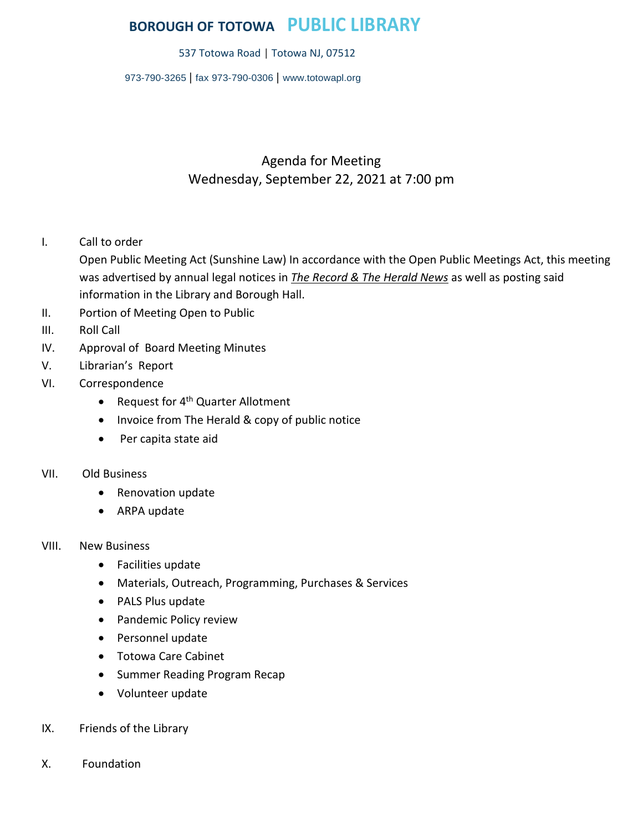## **BOROUGH OF TOTOWA PUBLIC LIBRARY**

537 Totowa Road | Totowa NJ, 07512

973-790-3265 | fax 973-790-0306 | [www.totowapl.org](http://www.totowapl.org/)

## Agenda for Meeting Wednesday, September 22, 2021 at 7:00 pm

I. Call to order

Open Public Meeting Act (Sunshine Law) In accordance with the Open Public Meetings Act, this meeting was advertised by annual legal notices in *The Record & The Herald News* as well as posting said information in the Library and Borough Hall.

- II. Portion of Meeting Open to Public
- III. Roll Call
- IV. Approval of Board Meeting Minutes
- V. Librarian's Report
- VI. Correspondence
	- Request for 4<sup>th</sup> Quarter Allotment
	- Invoice from The Herald & copy of public notice
	- Per capita state aid

## VII. Old Business

- Renovation update
- ARPA update
- VIII. New Business
	- Facilities update
	- Materials, Outreach, Programming, Purchases & Services
	- PALS Plus update
	- Pandemic Policy review
	- Personnel update
	- Totowa Care Cabinet
	- Summer Reading Program Recap
	- Volunteer update
- IX. Friends of the Library
- X. Foundation